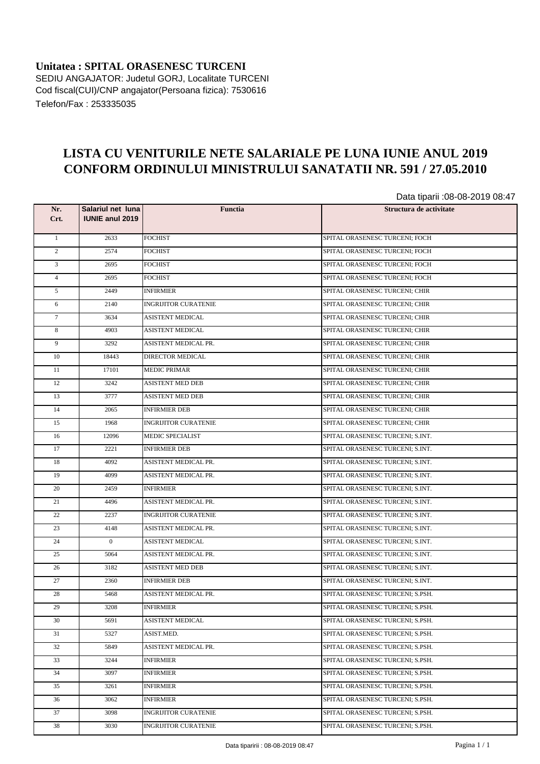**Unitatea : SPITAL ORASENESC TURCENI** SEDIU ANGAJATOR: Judetul GORJ, Localitate TURCENI Cod fiscal(CUI)/CNP angajator(Persoana fizica): 7530616 Telefon/Fax : 253335035

## **LISTA CU VENITURILE NETE SALARIALE PE LUNA IUNIE ANUL 2019 CONFORM ORDINULUI MINISTRULUI SANATATII NR. 591 / 27.05.2010**

Data tiparii :08-08-2019 08:47

| Nr.<br>Crt.     | Salariul net luna<br><b>IUNIE anul 2019</b> | <b>Functia</b>              | ----- ---- -- - - - -<br>Structura de activitate |
|-----------------|---------------------------------------------|-----------------------------|--------------------------------------------------|
|                 |                                             |                             |                                                  |
| $\mathbf{1}$    | 2633                                        | <b>FOCHIST</b>              | SPITAL ORASENESC TURCENI; FOCH                   |
| $\overline{2}$  | 2574                                        | <b>FOCHIST</b>              | SPITAL ORASENESC TURCENI; FOCH                   |
| 3               | 2695                                        | <b>FOCHIST</b>              | SPITAL ORASENESC TURCENI; FOCH                   |
| $\overline{4}$  | 2695                                        | <b>FOCHIST</b>              | SPITAL ORASENESC TURCENI; FOCH                   |
| 5               | 2449                                        | <b>INFIRMIER</b>            | SPITAL ORASENESC TURCENI; CHIR                   |
| 6               | 2140                                        | <b>INGRIJITOR CURATENIE</b> | SPITAL ORASENESC TURCENI; CHIR                   |
| $7\phantom{.0}$ | 3634                                        | <b>ASISTENT MEDICAL</b>     | SPITAL ORASENESC TURCENI; CHIR                   |
| 8               | 4903                                        | <b>ASISTENT MEDICAL</b>     | SPITAL ORASENESC TURCENI; CHIR                   |
| 9               | 3292                                        | ASISTENT MEDICAL PR.        | SPITAL ORASENESC TURCENI; CHIR                   |
| 10              | 18443                                       | DIRECTOR MEDICAL            | SPITAL ORASENESC TURCENI; CHIR                   |
| 11              | 17101                                       | <b>MEDIC PRIMAR</b>         | SPITAL ORASENESC TURCENI; CHIR                   |
| 12              | 3242                                        | <b>ASISTENT MED DEB</b>     | SPITAL ORASENESC TURCENI; CHIR                   |
| 13              | 3777                                        | <b>ASISTENT MED DEB</b>     | SPITAL ORASENESC TURCENI; CHIR                   |
| 14              | 2065                                        | <b>INFIRMIER DEB</b>        | SPITAL ORASENESC TURCENI; CHIR                   |
| 15              | 1968                                        | <b>INGRIJITOR CURATENIE</b> | SPITAL ORASENESC TURCENI; CHIR                   |
| 16              | 12096                                       | MEDIC SPECIALIST            | SPITAL ORASENESC TURCENI; S.INT.                 |
| 17              | 2221                                        | <b>INFIRMIER DEB</b>        | SPITAL ORASENESC TURCENI; S.INT.                 |
| 18              | 4092                                        | ASISTENT MEDICAL PR.        | SPITAL ORASENESC TURCENI; S.INT.                 |
| 19              | 4099                                        | ASISTENT MEDICAL PR.        | SPITAL ORASENESC TURCENI; S.INT.                 |
| 20              | 2459                                        | <b>INFIRMIER</b>            | SPITAL ORASENESC TURCENI; S.INT.                 |
| 21              | 4496                                        | ASISTENT MEDICAL PR.        | SPITAL ORASENESC TURCENI; S.INT.                 |
| 22              | 2237                                        | <b>INGRIJITOR CURATENIE</b> | SPITAL ORASENESC TURCENI; S.INT.                 |
| 23              | 4148                                        | ASISTENT MEDICAL PR.        | SPITAL ORASENESC TURCENI; S.INT.                 |
| 24              | $\overline{0}$                              | <b>ASISTENT MEDICAL</b>     | SPITAL ORASENESC TURCENI; S.INT.                 |
| 25              | 5064                                        | ASISTENT MEDICAL PR.        | SPITAL ORASENESC TURCENI; S.INT.                 |
| 26              | 3182                                        | <b>ASISTENT MED DEB</b>     | SPITAL ORASENESC TURCENI; S.INT.                 |
| 27              | 2360                                        | <b>INFIRMIER DEB</b>        | SPITAL ORASENESC TURCENI; S.INT.                 |
| 28              | 5468                                        | ASISTENT MEDICAL PR.        | SPITAL ORASENESC TURCENI; S.PSH.                 |
| 29              | 3208                                        | <b>INFIRMIER</b>            | SPITAL ORASENESC TURCENI; S.PSH.                 |
| 30              | 5691                                        | ASISTENT MEDICAL            | SPITAL ORASENESC TURCENI; S.PSH.                 |
| 31              | 5327                                        | ASIST.MED.                  | SPITAL ORASENESC TURCENI; S.PSH.                 |
| 32              | 5849                                        | ASISTENT MEDICAL PR.        | SPITAL ORASENESC TURCENI: S.PSH.                 |
| 33              | 3244                                        | INFIRMIER                   | SPITAL ORASENESC TURCENI; S.PSH.                 |
| 34              | 3097                                        | <b>INFIRMIER</b>            | SPITAL ORASENESC TURCENI; S.PSH.                 |
| 35              | 3261                                        | <b>INFIRMIER</b>            | SPITAL ORASENESC TURCENI; S.PSH.                 |
| 36              | 3062                                        | <b>INFIRMIER</b>            | SPITAL ORASENESC TURCENI; S.PSH.                 |
| 37              | 3098                                        | <b>INGRIJITOR CURATENIE</b> | SPITAL ORASENESC TURCENI; S.PSH.                 |
| 38              | 3030                                        | <b>INGRIJITOR CURATENIE</b> | SPITAL ORASENESC TURCENI; S.PSH.                 |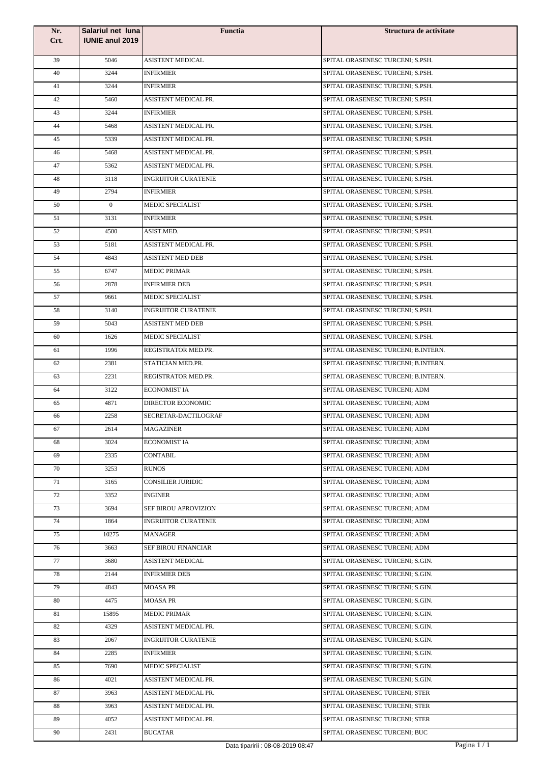| Nr.  | Salariul net luna      | <b>Functia</b>                    | Structura de activitate             |
|------|------------------------|-----------------------------------|-------------------------------------|
| Crt. | <b>IUNIE anul 2019</b> |                                   |                                     |
| 39   | 5046                   | ASISTENT MEDICAL                  | SPITAL ORASENESC TURCENI; S.PSH.    |
| 40   | 3244                   | <b>INFIRMIER</b>                  | SPITAL ORASENESC TURCENI; S.PSH.    |
| 41   | 3244                   | INFIRMIER                         | SPITAL ORASENESC TURCENI; S.PSH.    |
| 42   | 5460                   | ASISTENT MEDICAL PR.              | SPITAL ORASENESC TURCENI; S.PSH.    |
| 43   | 3244                   | <b>INFIRMIER</b>                  | SPITAL ORASENESC TURCENI: S.PSH.    |
| 44   | 5468                   | ASISTENT MEDICAL PR.              | SPITAL ORASENESC TURCENI; S.PSH.    |
| 45   | 5339                   | ASISTENT MEDICAL PR.              | SPITAL ORASENESC TURCENI; S.PSH.    |
| 46   | 5468                   | ASISTENT MEDICAL PR.              | SPITAL ORASENESC TURCENI; S.PSH.    |
| 47   | 5362                   | ASISTENT MEDICAL PR.              | SPITAL ORASENESC TURCENI; S.PSH.    |
| 48   | 3118                   | <b>INGRIJITOR CURATENIE</b>       | SPITAL ORASENESC TURCENI; S.PSH.    |
| 49   | 2794                   | <b>INFIRMIER</b>                  | SPITAL ORASENESC TURCENI; S.PSH.    |
| 50   | $\overline{0}$         | MEDIC SPECIALIST                  | SPITAL ORASENESC TURCENI; S.PSH.    |
| 51   | 3131                   | <b>INFIRMIER</b>                  | SPITAL ORASENESC TURCENI; S.PSH.    |
| 52   | 4500                   | ASIST.MED.                        | SPITAL ORASENESC TURCENI; S.PSH.    |
| 53   | 5181                   | ASISTENT MEDICAL PR.              | SPITAL ORASENESC TURCENI; S.PSH.    |
| 54   | 4843                   | <b>ASISTENT MED DEB</b>           | SPITAL ORASENESC TURCENI; S.PSH.    |
| 55   | 6747                   | <b>MEDIC PRIMAR</b>               | SPITAL ORASENESC TURCENI; S.PSH.    |
| 56   | 2878                   | <b>INFIRMIER DEB</b>              | SPITAL ORASENESC TURCENI; S.PSH.    |
| 57   | 9661                   | MEDIC SPECIALIST                  | SPITAL ORASENESC TURCENI; S.PSH.    |
| 58   | 3140                   | <b>INGRIJITOR CURATENIE</b>       | SPITAL ORASENESC TURCENI; S.PSH.    |
| 59   | 5043                   | <b>ASISTENT MED DEB</b>           | SPITAL ORASENESC TURCENI; S.PSH.    |
| 60   | 1626                   | <b>MEDIC SPECIALIST</b>           | SPITAL ORASENESC TURCENI: S.PSH.    |
| 61   | 1996                   | REGISTRATOR MED.PR.               | SPITAL ORASENESC TURCENI; B.INTERN. |
| 62   | 2381                   | STATICIAN MED.PR.                 | SPITAL ORASENESC TURCENI; B.INTERN. |
| 63   | 2231                   | REGISTRATOR MED.PR.               | SPITAL ORASENESC TURCENI; B.INTERN. |
| 64   | 3122                   | <b>ECONOMIST IA</b>               | SPITAL ORASENESC TURCENI; ADM       |
| 65   | 4871                   | <b>DIRECTOR ECONOMIC</b>          | SPITAL ORASENESC TURCENI; ADM       |
| 66   | 2258                   | SECRETAR-DACTILOGRAF              | SPITAL ORASENESC TURCENI; ADM       |
| 67   | 2614                   | <b>MAGAZINER</b>                  | SPITAL ORASENESC TURCENI; ADM       |
| 68   | 3024                   | <b>ECONOMIST IA</b>               | SPITAL ORASENESC TURCENI; ADM       |
| 69   | 2335                   | <b>CONTABIL</b>                   | SPITAL ORASENESC TURCENI; ADM       |
| 70   | 3253                   | <b>RUNOS</b>                      | SPITAL ORASENESC TURCENI; ADM       |
| 71   | 3165                   | <b>CONSILIER JURIDIC</b>          | SPITAL ORASENESC TURCENI; ADM       |
| 72   | 3352                   | <b>INGINER</b>                    | SPITAL ORASENESC TURCENI; ADM       |
| 73   | 3694                   | SEF BIROU APROVIZION              | SPITAL ORASENESC TURCENI; ADM       |
| 74   | 1864                   | <b>INGRIJITOR CURATENIE</b>       | SPITAL ORASENESC TURCENI; ADM       |
| 75   | 10275                  | <b>MANAGER</b>                    | SPITAL ORASENESC TURCENI; ADM       |
| 76   | 3663                   | SEF BIROU FINANCIAR               | SPITAL ORASENESC TURCENI; ADM       |
| 77   | 3680                   | ASISTENT MEDICAL                  | SPITAL ORASENESC TURCENI; S.GIN.    |
| 78   | 2144                   | <b>INFIRMIER DEB</b>              | SPITAL ORASENESC TURCENI; S.GIN.    |
| 79   | 4843                   | <b>MOASA PR</b>                   | SPITAL ORASENESC TURCENI; S.GIN.    |
| 80   | 4475                   | <b>MOASA PR</b>                   | SPITAL ORASENESC TURCENI; S.GIN.    |
| 81   | 15895                  | <b>MEDIC PRIMAR</b>               | SPITAL ORASENESC TURCENI; S.GIN.    |
| 82   | 4329                   | ASISTENT MEDICAL PR.              | SPITAL ORASENESC TURCENI; S.GIN.    |
| 83   | 2067                   | <b>INGRIJITOR CURATENIE</b>       | SPITAL ORASENESC TURCENI; S.GIN.    |
| 84   | 2285                   | <b>INFIRMIER</b>                  | SPITAL ORASENESC TURCENI; S.GIN.    |
| 85   | 7690                   | MEDIC SPECIALIST                  | SPITAL ORASENESC TURCENI; S.GIN.    |
| 86   | 4021                   | ASISTENT MEDICAL PR.              | SPITAL ORASENESC TURCENI; S.GIN.    |
| 87   | 3963                   | ASISTENT MEDICAL PR.              | SPITAL ORASENESC TURCENI; STER      |
| 88   | 3963                   | ASISTENT MEDICAL PR.              | SPITAL ORASENESC TURCENI; STER      |
| 89   | 4052                   | ASISTENT MEDICAL PR.              | SPITAL ORASENESC TURCENI; STER      |
| 90   | 2431                   | <b>BUCATAR</b>                    | SPITAL ORASENESC TURCENI; BUC       |
|      |                        | Data tiparirii : 08-08-2019 08:47 | Pagina $1/1$                        |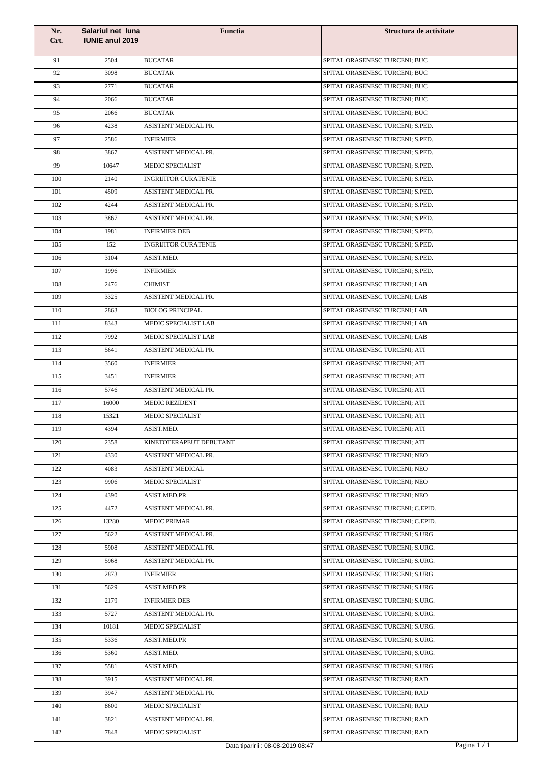| Nr.<br>Crt. | Salariul net luna<br><b>IUNIE anul 2019</b> | <b>Functia</b>              | Structura de activitate           |
|-------------|---------------------------------------------|-----------------------------|-----------------------------------|
|             |                                             |                             |                                   |
| 91          | 2504                                        | <b>BUCATAR</b>              | SPITAL ORASENESC TURCENI; BUC     |
| 92          | 3098                                        | <b>BUCATAR</b>              | SPITAL ORASENESC TURCENI: BUC     |
| 93          | 2771                                        | <b>BUCATAR</b>              | SPITAL ORASENESC TURCENI; BUC     |
| 94          | 2066                                        | <b>BUCATAR</b>              | SPITAL ORASENESC TURCENI; BUC     |
| 95          | 2066                                        | <b>BUCATAR</b>              | SPITAL ORASENESC TURCENI; BUC     |
| 96          | 4238                                        | ASISTENT MEDICAL PR.        | SPITAL ORASENESC TURCENI; S.PED.  |
| 97          | 2586                                        | <b>INFIRMIER</b>            | SPITAL ORASENESC TURCENI; S.PED.  |
| 98          | 3867                                        | ASISTENT MEDICAL PR.        | SPITAL ORASENESC TURCENI; S.PED.  |
| 99          | 10647                                       | <b>MEDIC SPECIALIST</b>     | SPITAL ORASENESC TURCENI; S.PED.  |
| 100         | 2140                                        | <b>INGRIJITOR CURATENIE</b> | SPITAL ORASENESC TURCENI; S.PED.  |
| 101         | 4509                                        | ASISTENT MEDICAL PR.        | SPITAL ORASENESC TURCENI; S.PED.  |
| 102         | 4244                                        | ASISTENT MEDICAL PR.        | SPITAL ORASENESC TURCENI: S.PED.  |
| 103         | 3867                                        | ASISTENT MEDICAL PR.        | SPITAL ORASENESC TURCENI; S.PED.  |
| 104         | 1981                                        | <b>INFIRMIER DEB</b>        | SPITAL ORASENESC TURCENI; S.PED.  |
| 105         | 152                                         | <b>INGRIJITOR CURATENIE</b> | SPITAL ORASENESC TURCENI; S.PED.  |
| 106         | 3104                                        | ASIST.MED.                  | SPITAL ORASENESC TURCENI; S.PED.  |
| 107         | 1996                                        | <b>INFIRMIER</b>            | SPITAL ORASENESC TURCENI: S.PED.  |
| 108         | 2476                                        | <b>CHIMIST</b>              | SPITAL ORASENESC TURCENI; LAB     |
| 109         | 3325                                        | ASISTENT MEDICAL PR.        | SPITAL ORASENESC TURCENI; LAB     |
| 110         | 2863                                        | <b>BIOLOG PRINCIPAL</b>     | SPITAL ORASENESC TURCENI; LAB     |
| 111         | 8343                                        | MEDIC SPECIALIST LAB        | SPITAL ORASENESC TURCENI; LAB     |
| 112         | 7992                                        | MEDIC SPECIALIST LAB        | SPITAL ORASENESC TURCENI; LAB     |
| 113         | 5641                                        | ASISTENT MEDICAL PR.        | SPITAL ORASENESC TURCENI; ATI     |
| 114         | 3560                                        | <b>INFIRMIER</b>            | SPITAL ORASENESC TURCENI; ATI     |
| 115         | 3451                                        | <b>INFIRMIER</b>            | SPITAL ORASENESC TURCENI; ATI     |
| 116         | 5746                                        | ASISTENT MEDICAL PR.        | SPITAL ORASENESC TURCENI; ATI     |
| 117         | 16000                                       | <b>MEDIC REZIDENT</b>       | SPITAL ORASENESC TURCENI; ATI     |
| 118         | 15321                                       | <b>MEDIC SPECIALIST</b>     | SPITAL ORASENESC TURCENI; ATI     |
| 119         | 4394                                        | ASIST.MED.                  | SPITAL ORASENESC TURCENI; ATI     |
| 120         | 2358                                        | KINETOTERAPEUT DEBUTANT     | SPITAL ORASENESC TURCENI; ATI     |
| 121         | 4330                                        | ASISTENT MEDICAL PR.        | SPITAL ORASENESC TURCENI; NEO     |
| 122         | 4083                                        | <b>ASISTENT MEDICAL</b>     | SPITAL ORASENESC TURCENI; NEO     |
| 123         | 9906                                        | <b>MEDIC SPECIALIST</b>     | SPITAL ORASENESC TURCENI; NEO     |
| 124         | 4390                                        | <b>ASIST.MED.PR</b>         | SPITAL ORASENESC TURCENI; NEO     |
| 125         | 4472                                        | ASISTENT MEDICAL PR.        | SPITAL ORASENESC TURCENI; C.EPID. |
| 126         | 13280                                       | <b>MEDIC PRIMAR</b>         | SPITAL ORASENESC TURCENI; C.EPID. |
| 127         | 5622                                        | ASISTENT MEDICAL PR.        | SPITAL ORASENESC TURCENI; S.URG.  |
| 128         | 5908                                        | ASISTENT MEDICAL PR.        | SPITAL ORASENESC TURCENI; S.URG.  |
| 129         | 5968                                        | ASISTENT MEDICAL PR.        | SPITAL ORASENESC TURCENI; S.URG.  |
| 130         | 2873                                        | <b>INFIRMIER</b>            | SPITAL ORASENESC TURCENI; S.URG.  |
| 131         | 5629                                        | ASIST.MED.PR.               | SPITAL ORASENESC TURCENI; S.URG.  |
| 132         | 2179                                        | <b>INFIRMIER DEB</b>        | SPITAL ORASENESC TURCENI; S.URG.  |
| 133         | 5727                                        | ASISTENT MEDICAL PR.        | SPITAL ORASENESC TURCENI; S.URG.  |
| 134         | 10181                                       | MEDIC SPECIALIST            | SPITAL ORASENESC TURCENI; S.URG.  |
| 135         | 5336                                        | ASIST.MED.PR                | SPITAL ORASENESC TURCENI; S.URG.  |
| 136         | 5360                                        | ASIST.MED.                  | SPITAL ORASENESC TURCENI; S.URG.  |
| 137         | 5581                                        | ASIST.MED.                  | SPITAL ORASENESC TURCENI; S.URG.  |
| 138         | 3915                                        | ASISTENT MEDICAL PR.        | SPITAL ORASENESC TURCENI; RAD     |
| 139         | 3947                                        | ASISTENT MEDICAL PR.        | SPITAL ORASENESC TURCENI; RAD     |
| 140         | 8600                                        | <b>MEDIC SPECIALIST</b>     | SPITAL ORASENESC TURCENI; RAD     |
| 141         | 3821                                        | ASISTENT MEDICAL PR.        | SPITAL ORASENESC TURCENI; RAD     |
| 142         | 7848                                        | <b>MEDIC SPECIALIST</b>     | SPITAL ORASENESC TURCENI; RAD     |